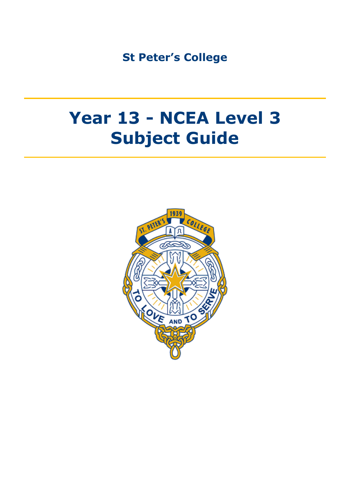**St Peter's College**

# **Year 13 - NCEA Level 3 Subject Guide**

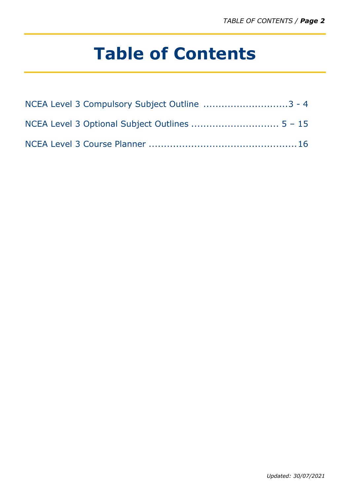# **Table of Contents**

| NCEA Level 3 Compulsory Subject Outline 3 - 4 |  |
|-----------------------------------------------|--|
|                                               |  |
|                                               |  |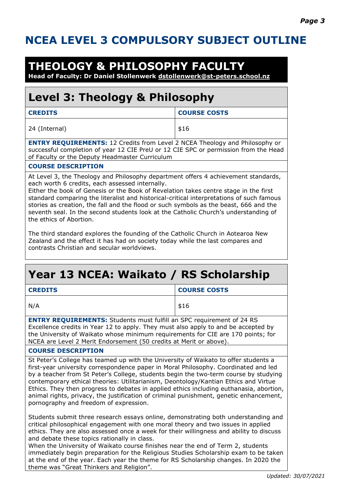### **NCEA LEVEL 3 COMPULSORY SUBJECT OUTLINE**

### **THEOLOGY & PHILOSOPHY FACULTY**

**Head of Faculty: Dr Daniel Stollenwerk [dstollenwerk@st-peters.school.nz](mailto:dstollenwerk@st-peters.school.nz)**

### **Level 3: Theology & Philosophy**

| <b>CREDITS</b>                                                                                                                                                                                                                                                                                                                                                                                                                                                                                                                       | <b>COURSE COSTS</b> |  |
|--------------------------------------------------------------------------------------------------------------------------------------------------------------------------------------------------------------------------------------------------------------------------------------------------------------------------------------------------------------------------------------------------------------------------------------------------------------------------------------------------------------------------------------|---------------------|--|
| 24 (Internal)                                                                                                                                                                                                                                                                                                                                                                                                                                                                                                                        | \$16                |  |
| <b>ENTRY REQUIREMENTS: 12 Credits from Level 2 NCEA Theology and Philosophy or</b><br>successful completion of year 12 CIE PreU or 12 CIE SPC or permission from the Head<br>of Faculty or the Deputy Headmaster Curriculum                                                                                                                                                                                                                                                                                                          |                     |  |
| <b>COURSE DESCRIPTION</b>                                                                                                                                                                                                                                                                                                                                                                                                                                                                                                            |                     |  |
| At Level 3, the Theology and Philosophy department offers 4 achievement standards,<br>each worth 6 credits, each assessed internally.<br>Either the book of Genesis or the Book of Revelation takes centre stage in the first<br>standard comparing the literalist and historical-critical interpretations of such famous<br>stories as creation, the fall and the flood or such symbols as the beast, 666 and the<br>seventh seal. In the second students look at the Catholic Church's understanding of<br>the ethics of Abortion. |                     |  |

The third standard explores the founding of the Catholic Church in Aotearoa New Zealand and the effect it has had on society today while the last compares and contrasts Christian and secular worldviews.

### **Year 13 NCEA: Waikato / RS Scholarship CREDITS COURSE COSTS**  $N/A$   $\uparrow$  \$16 **ENTRY REQUIREMENTS:** Students must fulfill an SPC requirement of 24 RS Excellence credits in Year 12 to apply. They must also apply to and be accepted by the University of Waikato whose minimum requirements for CIE are 170 points; for NCEA are Level 2 Merit Endorsement (50 credits at Merit or above). **COURSE DESCRIPTION**

St Peter's College has teamed up with the University of Waikato to offer students a first-year university correspondence paper in Moral Philosophy. Coordinated and led by a teacher from St Peter's College, students begin the two-term course by studying contemporary ethical theories: Utilitarianism, Deontology/Kantian Ethics and Virtue Ethics. They then progress to debates in applied ethics including euthanasia, abortion, animal rights, privacy, the justification of criminal punishment, genetic enhancement, pornography and freedom of expression.

Students submit three research essays online, demonstrating both understanding and critical philosophical engagement with one moral theory and two issues in applied ethics. They are also assessed once a week for their willingness and ability to discuss and debate these topics rationally in class.

When the University of Waikato course finishes near the end of Term 2, students immediately begin preparation for the Religious Studies Scholarship exam to be taken at the end of the year. Each year the theme for RS Scholarship changes. In 2020 the theme was "Great Thinkers and Religion".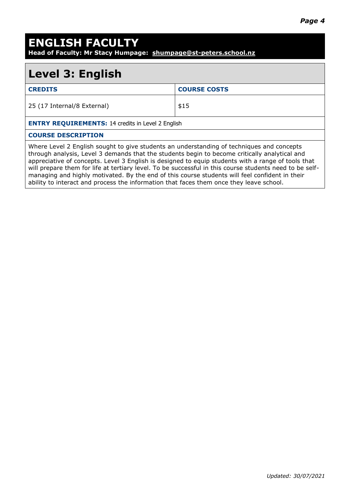### **ENGLISH FACULTY**

**Head of Faculty: Mr Stacy Humpage: [shumpage@st-peters.school.nz](mailto:shumpage@st-peters.school.nz)**

### **Level 3: English**

| <b>CREDITS</b>                                                                            | <b>COURSE COSTS</b> |  |
|-------------------------------------------------------------------------------------------|---------------------|--|
| 25 (17 Internal/8 External)                                                               | \$15                |  |
| <b>ENTRY REQUIREMENTS: 14 credits in Level 2 English</b>                                  |                     |  |
| <b>COURSE DESCRIPTION</b>                                                                 |                     |  |
| Where Level 2 English sought to give students an understanding of techniques and concepts |                     |  |

through analysis, Level 3 demands that the students begin to become critically analytical and appreciative of concepts. Level 3 English is designed to equip students with a range of tools that will prepare them for life at tertiary level. To be successful in this course students need to be selfmanaging and highly motivated. By the end of this course students will feel confident in their ability to interact and process the information that faces them once they leave school.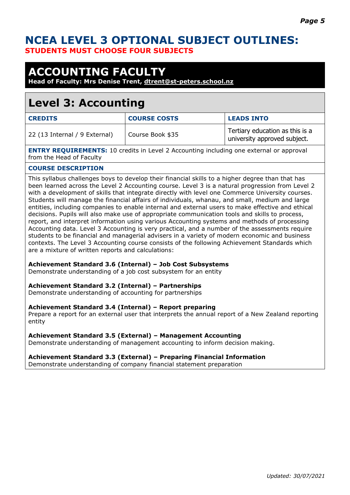### **NCEA LEVEL 3 OPTIONAL SUBJECT OUTLINES: STUDENTS MUST CHOOSE FOUR SUBJECTS**

### **ACCOUNTING FACULTY**

**Head of Faculty: Mrs Denise Trent, [dtrent@st-peters.school.nz](mailto:dtrent@st-peters.school.nz)**

### **Level 3: Accounting**

| <b>CREDITS</b>                | <b>COURSE COSTS</b> | <b>LEADS INTO</b>                                               |
|-------------------------------|---------------------|-----------------------------------------------------------------|
| 22 (13 Internal / 9 External) | Course Book \$35    | Tertiary education as this is a<br>university approved subject. |

**ENTRY REQUIREMENTS:** 10 credits in Level 2 Accounting including one external or approval from the Head of Faculty

#### **COURSE DESCRIPTION**

This syllabus challenges boys to develop their financial skills to a higher degree than that has been learned across the Level 2 Accounting course. Level 3 is a natural progression from Level 2 with a development of skills that integrate directly with level one Commerce University courses. Students will manage the financial affairs of individuals, whanau, and small, medium and large entities, including companies to enable internal and external users to make effective and ethical decisions. Pupils will also make use of appropriate communication tools and skills to process, report, and interpret information using various Accounting systems and methods of processing Accounting data. Level 3 Accounting is very practical, and a number of the assessments require students to be financial and managerial advisers in a variety of modern economic and business contexts. The Level 3 Accounting course consists of the following Achievement Standards which are a mixture of written reports and calculations:

#### **Achievement Standard 3.6 (Internal) – Job Cost Subsystems**

Demonstrate understanding of a job cost subsystem for an entity

#### **Achievement Standard 3.2 (Internal) – Partnerships**

Demonstrate understanding of accounting for partnerships

#### **Achievement Standard 3.4 (Internal) – Report preparing**

Prepare a report for an external user that interprets the annual report of a New Zealand reporting entity

#### **Achievement Standard 3.5 (External) – Management Accounting**

Demonstrate understanding of management accounting to inform decision making.

#### **Achievement Standard 3.3 (External) – Preparing Financial Information**

Demonstrate understanding of company financial statement preparation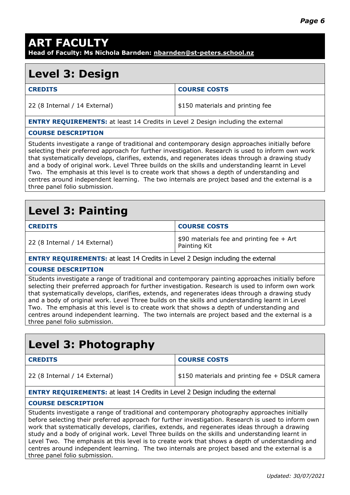### **ART FACULTY Head of Faculty: Ms Nichola Barnden: [nbarnden@st-peters.school.nz](mailto:nbarnden@st-peters.school.nz)**

### **Level 3: Design**

| <b>CREDITS</b>                | <b>COURSE COSTS</b>              |
|-------------------------------|----------------------------------|
| 22 (8 Internal / 14 External) | \$150 materials and printing fee |
|                               |                                  |

#### **ENTRY REQUIREMENTS:** at least 14 Credits in Level 2 Design including the external

#### **COURSE DESCRIPTION**

Students investigate a range of traditional and contemporary design approaches initially before selecting their preferred approach for further investigation. Research is used to inform own work that systematically develops, clarifies, extends, and regenerates ideas through a drawing study and a body of original work. Level Three builds on the skills and understanding learnt in Level Two. The emphasis at this level is to create work that shows a depth of understanding and centres around independent learning. The two internals are project based and the external is a three panel folio submission.

### **Level 3: Painting**

| <b>CREDITS</b>                | <b>COURSE COSTS</b>                                       |
|-------------------------------|-----------------------------------------------------------|
| 22 (8 Internal / 14 External) | \$90 materials fee and printing fee + Art<br>Painting Kit |

**ENTRY REQUIREMENTS:** at least 14 Credits in Level 2 Design including the external

#### **COURSE DESCRIPTION**

Students investigate a range of traditional and contemporary painting approaches initially before selecting their preferred approach for further investigation. Research is used to inform own work that systematically develops, clarifies, extends, and regenerates ideas through a drawing study and a body of original work. Level Three builds on the skills and understanding learnt in Level Two. The emphasis at this level is to create work that shows a depth of understanding and centres around independent learning. The two internals are project based and the external is a three panel folio submission.

### **Level 3: Photography**

| <b>CREDITS</b>                | <b>COURSE COSTS</b>                             |
|-------------------------------|-------------------------------------------------|
| 22 (8 Internal / 14 External) | $$150$ materials and printing fee + DSLR camera |

#### **ENTRY REQUIREMENTS:** at least 14 Credits in Level 2 Design including the external

#### **COURSE DESCRIPTION**

Students investigate a range of traditional and contemporary photography approaches initially before selecting their preferred approach for further investigation. Research is used to inform own work that systematically develops, clarifies, extends, and regenerates ideas through a drawing study and a body of original work. Level Three builds on the skills and understanding learnt in Level Two. The emphasis at this level is to create work that shows a depth of understanding and centres around independent learning. The two internals are project based and the external is a three panel folio submission.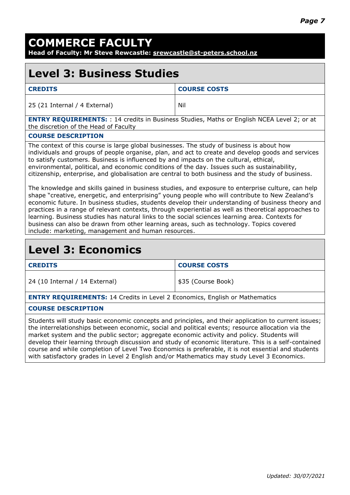## **COMMERCE FACULTY**

**Head of Faculty: Mr Steve Rewcastle: [srewcastle@st-peters.school.nz](mailto:srewcastle@st-peters.school.nz)**

### **Level 3: Business Studies**

| <b>CREDITS</b>                | <b>COURSE COSTS</b> |
|-------------------------------|---------------------|
| 25 (21 Internal / 4 External) | Nil                 |

**ENTRY REQUIREMENTS:** : 14 credits in Business Studies, Maths or English NCEA Level 2; or at the discretion of the Head of Faculty

#### **COURSE DESCRIPTION**

The context of this course is large global businesses. The study of business is about how individuals and groups of people organise, plan, and act to create and develop goods and services to satisfy customers. Business is influenced by and impacts on the cultural, ethical, environmental, political, and economic conditions of the day. Issues such as sustainability, citizenship, enterprise, and globalisation are central to both business and the study of business.

The knowledge and skills gained in business studies, and exposure to enterprise culture, can help shape "creative, energetic, and enterprising" young people who will contribute to New Zealand's economic future. In business studies, students develop their understanding of business theory and practices in a range of relevant contexts, through experiential as well as theoretical approaches to learning. Business studies has natural links to the social sciences learning area. Contexts for business can also be drawn from other learning areas, such as technology. Topics covered include: marketing, management and human resources.

### **Level 3: Economics**

| <b>CREDITS</b>                 | <b>COURSE COSTS</b> |
|--------------------------------|---------------------|
| 24 (10 Internal / 14 External) | 535 (Course Book)   |

**ENTRY REQUIREMENTS:** 14 Credits in Level 2 Economics, English or Mathematics

#### **COURSE DESCRIPTION**

Students will study basic economic concepts and principles, and their application to current issues; the interrelationships between economic, social and political events; resource allocation via the market system and the public sector; aggregate economic activity and policy. Students will develop their learning through discussion and study of economic literature. This is a self-contained course and while completion of Level Two Economics is preferable, it is not essential and students with satisfactory grades in Level 2 English and/or Mathematics may study Level 3 Economics.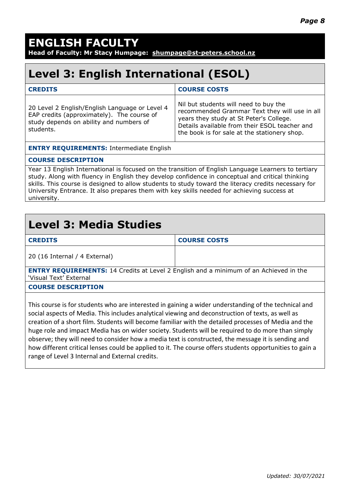## **ENGLISH FACULTY**

**Head of Faculty: Mr Stacy Humpage: [shumpage@st-peters.school.nz](mailto:shumpage@st-peters.school.nz)**

### **Level 3: English International (ESOL)**

| <b>CREDITS</b>                                                                                                                                       | <b>COURSE COSTS</b>                                                                                                                                                                                                                |
|------------------------------------------------------------------------------------------------------------------------------------------------------|------------------------------------------------------------------------------------------------------------------------------------------------------------------------------------------------------------------------------------|
| 20 Level 2 English/English Language or Level 4<br>EAP credits (approximately). The course of<br>study depends on ability and numbers of<br>students. | Nil but students will need to buy the<br>recommended Grammar Text they will use in all<br>years they study at St Peter's College.<br>Details available from their ESOL teacher and<br>the book is for sale at the stationery shop. |

**ENTRY REQUIREMENTS:** Intermediate English

#### **COURSE DESCRIPTION**

Year 13 English International is focused on the transition of English Language Learners to tertiary study. Along with fluency in English they develop confidence in conceptual and critical thinking skills. This course is designed to allow students to study toward the literacy credits necessary for University Entrance. It also prepares them with key skills needed for achieving success at university.

### **Level 3: Media Studies**

| u,<br>P. |  |
|----------|--|
|----------|--|

**CREDITS COURSE COSTS**

20 (16 Internal / 4 External)

**ENTRY REQUIREMENTS:** 14 Credits at Level 2 English and a minimum of an Achieved in the 'Visual Text' External

#### **COURSE DESCRIPTION**

This course is for students who are interested in gaining a wider understanding of the technical and social aspects of Media. This includes analytical viewing and deconstruction of texts, as well as creation of a short film. Students will become familiar with the detailed processes of Media and the huge role and impact Media has on wider society. Students will be required to do more than simply observe; they will need to consider how a media text is constructed, the message it is sending and how different critical lenses could be applied to it. The course offers students opportunities to gain a range of Level 3 Internal and External credits.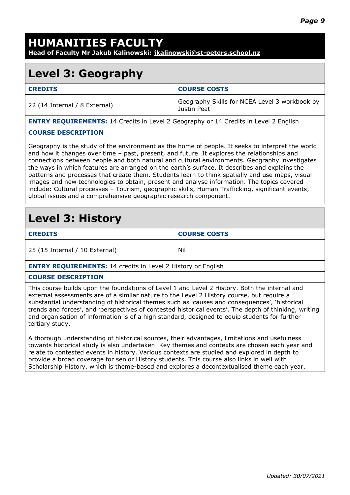## **HUMANITIES FACULTY**

**Head of Faculty Mr Jakub Kalinowski: [jkalinowski@st-peters.school.nz](mailto:jkalinowski@st-peters.school.nz)**

### **Level 3: Geography**

| <b>CREDITS</b>                | <b>COURSE COSTS</b>                                          |
|-------------------------------|--------------------------------------------------------------|
| 22 (14 Internal / 8 External) | Geography Skills for NCEA Level 3 workbook by<br>Justin Peat |

**ENTRY REQUIREMENTS:** 14 Credits in Level 2 Geography or 14 Credits in Level 2 English

#### **COURSE DESCRIPTION**

Geography is the study of the environment as the home of people. It seeks to interpret the world and how it changes over time – past, present, and future. It explores the relationships and connections between people and both natural and cultural environments. Geography investigates the ways in which features are arranged on the earth's surface. It describes and explains the patterns and processes that create them. Students learn to think spatially and use maps, visual images and new technologies to obtain, present and analyse information. The topics covered include: Cultural processes – Tourism, geographic skills, Human Trafficking, significant events, global issues and a comprehensive geographic research component.

### **Level 3: History**

| <b>CREDITS</b>                 | <b>COURSE COSTS</b> |
|--------------------------------|---------------------|
| 25 (15 Internal / 10 External) | Nil                 |

**ENTRY REQUIREMENTS:** 14 credits in Level 2 History or English

#### **COURSE DESCRIPTION**

This course builds upon the foundations of Level 1 and Level 2 History. Both the internal and external assessments are of a similar nature to the Level 2 History course, but require a substantial understanding of historical themes such as 'causes and consequences', 'historical trends and forces', and 'perspectives of contested historical events'. The depth of thinking, writing and organisation of information is of a high standard, designed to equip students for further tertiary study.

A thorough understanding of historical sources, their advantages, limitations and usefulness towards historical study is also undertaken. Key themes and contexts are chosen each year and relate to contested events in history. Various contexts are studied and explored in depth to provide a broad coverage for senior History students. This course also links in well with Scholarship History, which is theme-based and explores a decontextualised theme each year.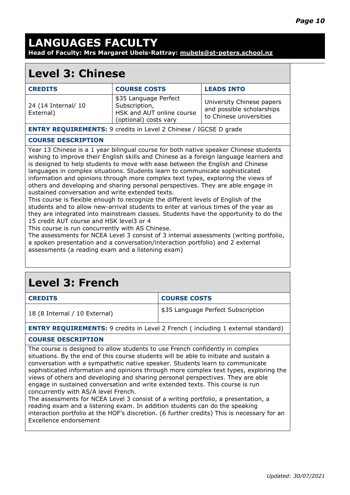### **LANGUAGES FACULTY Head of Faculty: Mrs Margaret Ubels-Rattray: [mubels@st-peters.school.nz](mailto:mubels@st-peters.school.nz)**

### **Level 3: Chinese**

| <b>CREDITS</b>                                                          | <b>COURSE COSTS</b>                                                                          | <b>LEADS INTO</b>                                                                 |
|-------------------------------------------------------------------------|----------------------------------------------------------------------------------------------|-----------------------------------------------------------------------------------|
| 24 (14 Internal/ 10<br>External)                                        | \$35 Language Perfect<br>Subscription,<br>HSK and AUT online course<br>(optional) costs vary | University Chinese papers<br>and possible scholarships<br>to Chinese universities |
| <b>ENTRY REQUIREMENTS:</b> 9 credits in Level 2 Chinese / IGCSE D grade |                                                                                              |                                                                                   |

#### **COURSE DESCRIPTION**

Year 13 Chinese is a 1 year bilingual course for both native speaker Chinese students wishing to improve their English skills and Chinese as a foreign language learners and is designed to help students to move with ease between the English and Chinese languages in complex situations. Students learn to communicate sophisticated information and opinions through more complex text types, exploring the views of others and developing and sharing personal perspectives. They are able engage in sustained conversation and write extended texts.

This course is flexible enough to recognize the different levels of English of the students and to allow new-arrival students to enter at various times of the year as they are integrated into mainstream classes. Students have the opportunity to do the 15 credit AUT course and HSK level3 or 4

This course is run concurrently with AS Chinese.

The assessments for NCEA Level 3 consist of 3 internal assessments (writing portfolio, a spoken presentation and a conversation/interaction portfolio) and 2 external assessments (a reading exam and a listening exam)

## **Level 3: French**

| <b>CREDITS</b>                                                                                                                                                         | <b>COURSE COSTS</b>                |  |
|------------------------------------------------------------------------------------------------------------------------------------------------------------------------|------------------------------------|--|
| 18 (8 Internal / 10 External)                                                                                                                                          | \$35 Language Perfect Subscription |  |
| <b>ENTRY REQUIREMENTS:</b> 9 credits in Level 2 French (including 1 external standard)                                                                                 |                                    |  |
| <b>COURSE DESCRIPTION</b>                                                                                                                                              |                                    |  |
| The course is designed to allow students to use French confidently in complex<br>situations. By the end of this course students will be able to initiate and sustain a |                                    |  |

conversation with a sympathetic native speaker. Students learn to communicate sophisticated information and opinions through more complex text types, exploring the views of others and developing and sharing personal perspectives. They are able engage in sustained conversation and write extended texts. This course is run concurrently with AS/A level French.

The assessments for NCEA Level 3 consist of a writing portfolio, a presentation, a reading exam and a listening exam. In addition students can do the speaking interaction portfolio at the HOF's discretion. (6 further credits) This is necessary for an Excellence endorsement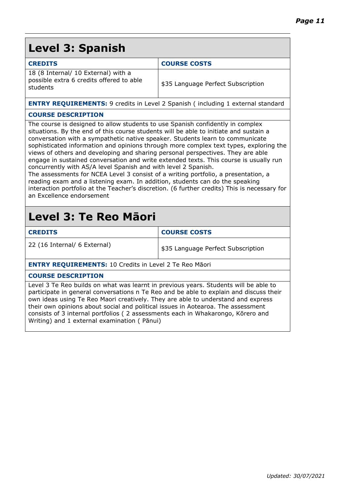### **Level 3: Spanish**

| <b>CREDITS</b>                                                                              | <b>COURSE COSTS</b>                |
|---------------------------------------------------------------------------------------------|------------------------------------|
| 18 (8 Internal/ 10 External) with a<br>possible extra 6 credits offered to able<br>students | \$35 Language Perfect Subscription |

**ENTRY REQUIREMENTS:** 9 credits in Level 2 Spanish (including 1 external standard

#### **COURSE DESCRIPTION**

The course is designed to allow students to use Spanish confidently in complex situations. By the end of this course students will be able to initiate and sustain a conversation with a sympathetic native speaker. Students learn to communicate sophisticated information and opinions through more complex text types, exploring the views of others and developing and sharing personal perspectives. They are able engage in sustained conversation and write extended texts. This course is usually run concurrently with AS/A level Spanish and with level 2 Spanish.

The assessments for NCEA Level 3 consist of a writing portfolio, a presentation, a reading exam and a listening exam. In addition, students can do the speaking interaction portfolio at the Teacher's discretion. (6 further credits) This is necessary for an Excellence endorsement

### **Level 3: Te Reo Māori**

| <b>CREDITS</b>                                                | <b>COURSE COSTS</b>                |  |
|---------------------------------------------------------------|------------------------------------|--|
| 22 (16 Internal/ 6 External)                                  | \$35 Language Perfect Subscription |  |
| <b>ENTRY REQUIREMENTS: 10 Credits in Level 2 Te Reo Māori</b> |                                    |  |
| <b>COURSE DESCRIPTION</b>                                     |                                    |  |

Level 3 Te Reo builds on what was learnt in previous years. Students will be able to participate in general conversations n Te Reo and be able to explain and discuss their own ideas using Te Reo Maori creatively. They are able to understand and express their own opinions about social and political issues in Aotearoa. The assessment consists of 3 internal portfolios ( 2 assessments each in Whakarongo, Kōrero and Writing) and 1 external examination ( Pānui)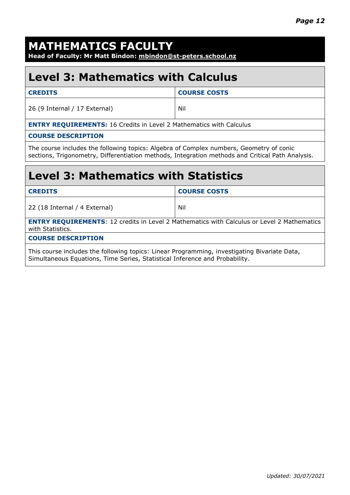### **MATHEMATICS FACULTY**

**Head of Faculty: Mr Matt Bindon: [mbindon@st-peters.school.nz](mailto:kheeney@st-peters.school.nz)**

## **Level 3: Mathematics with Calculus**

| <b>CREDITS</b>                                                             | <b>COURSE COSTS</b> |  |
|----------------------------------------------------------------------------|---------------------|--|
| 26 (9 Internal / 17 External)                                              | Nil                 |  |
| <b>ENTRY REQUIREMENTS: 16 Credits in Level 2 Mathematics with Calculus</b> |                     |  |
| <b>COURSE DESCRIPTION</b>                                                  |                     |  |

The course includes the following topics: Algebra of Complex numbers, Geometry of conic sections, Trigonometry, Differentiation methods, Integration methods and Critical Path Analysis.

### **Level 3: Mathematics with Statistics**

| <b>CREDITS</b>                                                                                                        | <b>COURSE COSTS</b> |  |
|-----------------------------------------------------------------------------------------------------------------------|---------------------|--|
| 22 (18 Internal / 4 External)                                                                                         | Nil                 |  |
| <b>ENTRY REQUIREMENTS: 12 credits in Level 2 Mathematics with Calculus or Level 2 Mathematics</b><br>with Statistics. |                     |  |
| <b>COURSE DESCRIPTION</b>                                                                                             |                     |  |
| This course includes the following topics: Linear Programming, investigating Bivariate Data,                          |                     |  |

Simultaneous Equations, Time Series, Statistical Inference and Probability.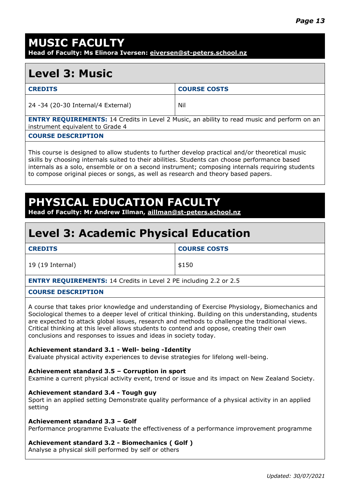### **MUSIC FACULTY**

**Head of Faculty: Ms Elinora Iversen: [eiversen@st-peters.school.nz](mailto:eiversen@st-peters.school.nz)**

### **Level 3: Music**

| Nil<br>24 -34 (20-30 Internal/4 External) | <b>CREDITS</b> | <b>COURSE COSTS</b> |
|-------------------------------------------|----------------|---------------------|
|                                           |                |                     |

**ENTRY REQUIREMENTS:** 14 Credits in Level 2 Music, an ability to read music and perform on an instrument equivalent to Grade 4

#### **COURSE DESCRIPTION**

This course is designed to allow students to further develop practical and/or theoretical music skills by choosing internals suited to their abilities. Students can choose performance based internals as a solo, ensemble or on a second instrument; composing internals requiring students to compose original pieces or songs, as well as research and theory based papers.

### **PHYSICAL EDUCATION FACULT**

**Head of Faculty: Mr Andrew Illman, [aillman@st-peters.school.nz](mailto:aillman@st-peters.school.nz)**

### **Level 3: Academic Physical Education**

| <b>CREDITS</b>                                                           | <b>COURSE COSTS</b> |  |
|--------------------------------------------------------------------------|---------------------|--|
| 19 (19 Internal)                                                         | \$150               |  |
| <b>ENTRY REQUIREMENTS: 14 Credits in Level 2 PE including 2.2 or 2.5</b> |                     |  |
| ------------------                                                       |                     |  |

#### **COURSE DESCRIPTION**

A course that takes prior knowledge and understanding of Exercise Physiology, Biomechanics and Sociological themes to a deeper level of critical thinking. Building on this understanding, students are expected to attack global issues, research and methods to challenge the traditional views. Critical thinking at this level allows students to contend and oppose, creating their own conclusions and responses to issues and ideas in society today.

#### **Achievement standard 3.1 - Well- being -Identity**

Evaluate physical activity experiences to devise strategies for lifelong well-being.

#### **Achievement standard 3.5 – Corruption in sport**

Examine a current physical activity event, trend or issue and its impact on New Zealand Society.

#### **Achievement standard 3.4 - Tough guy**

Sport in an applied setting Demonstrate quality performance of a physical activity in an applied setting

#### **Achievement standard 3.3 – Golf**

Performance programme Evaluate the effectiveness of a performance improvement programme

#### **Achievement standard 3.2 - Biomechanics ( Golf )**

Analyse a physical skill performed by self or others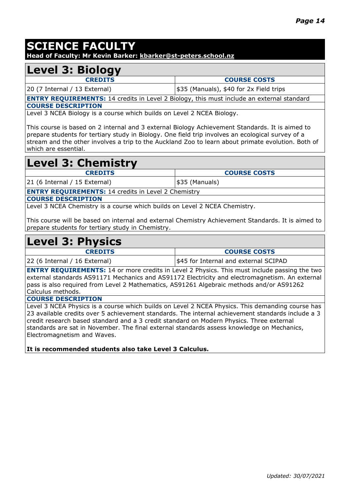### **SCIENCE FACULTY**

**Head of Faculty: Mr Kevin Barker: [kbarker@st-peters.school.nz](mailto:kbarker@st-peters.school.nz)**

### **Level 3: Biology**

**CREDITS COURSE COSTS** 20 (7 Internal / 13 External)  $\frac{1}{35}$  (Manuals), \$40 for 2x Field trips

**ENTRY REQUIREMENTS:** 14 credits in Level 2 Biology, this must include an external standard **COURSE DESCRIPTION**

Level 3 NCEA Biology is a course which builds on Level 2 NCEA Biology.

This course is based on 2 internal and 3 external Biology Achievement Standards. It is aimed to prepare students for tertiary study in Biology. One field trip involves an ecological survey of a stream and the other involves a trip to the Auckland Zoo to learn about primate evolution. Both of which are essential.

# **Level 3: Chemistry**

**CREDITS COURSE COSTS** 21 (6 Internal / 15 External)  $|$ \$35 (Manuals)

**ENTRY REQUIREMENTS:** 14 credits in Level 2 Chemistry

**COURSE DESCRIPTION**

Level 3 NCEA Chemistry is a course which builds on Level 2 NCEA Chemistry.

This course will be based on internal and external Chemistry Achievement Standards. It is aimed to prepare students for tertiary study in Chemistry.

### **Level 3: Physics**

| <b>CREDITS</b>                | <b>COURSE COSTS</b>                   |
|-------------------------------|---------------------------------------|
| 22 (6 Internal / 16 External) | \$45 for Internal and external SCIPAD |

**ENTRY REQUIREMENTS:** 14 or more credits in Level 2 Physics. This must include passing the two external standards AS91171 Mechanics and AS91172 Electricity and electromagnetism. An external pass is also required from Level 2 Mathematics, AS91261 Algebraic methods and/or AS91262 Calculus methods.

#### **COURSE DESCRIPTION**

Level 3 NCEA Physics is a course which builds on Level 2 NCEA Physics. This demanding course has 23 available credits over 5 achievement standards. The internal achievement standards include a 3 credit research based standard and a 3 credit standard on Modern Physics. Three external standards are sat in November. The final external standards assess knowledge on Mechanics, Electromagnetism and Waves.

**It is recommended students also take Level 3 Calculus.**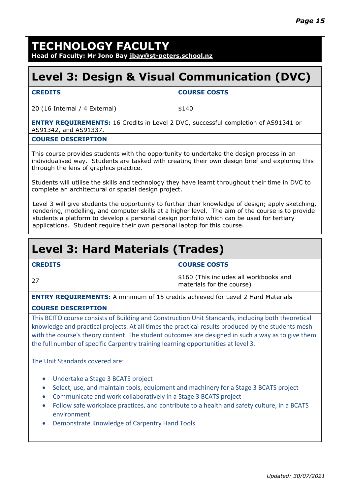## **TECHNOLOGY FACULTY**

**Head of Faculty: Mr Jono Bay [jbay@st-peters.school.nz](mailto:jbay@st-peters.school.nz)**

### **Level 3: Design & Visual Communication (DVC)**

| <b>CREDITS</b>                | <b>COURSE COSTS</b> |
|-------------------------------|---------------------|
| 20 (16 Internal / 4 External) | \$140               |

**ENTRY REQUIREMENTS:** 16 Credits in Level 2 DVC, successful completion of AS91341 or AS91342, and AS91337.

#### **COURSE DESCRIPTION**

This course provides students with the opportunity to undertake the design process in an individualised way. Students are tasked with creating their own design brief and exploring this through the lens of graphics practice.

Students will utilise the skills and technology they have learnt throughout their time in DVC to complete an architectural or spatial design project.

Level 3 will give students the opportunity to further their knowledge of design; apply sketching, rendering, modelling, and computer skills at a higher level. The aim of the course is to provide students a platform to develop a personal design portfolio which can be used for tertiary applications. Student require their own personal laptop for this course.

## **Level 3: Hard Materials (Trades)**

| <b>CREDITS</b> | <b>COURSE COSTS</b>                                                 |
|----------------|---------------------------------------------------------------------|
| -27            | \$160 (This includes all workbooks and<br>materials for the course) |

**ENTRY REQUIREMENTS:** A minimum of 15 credits achieved for Level 2 Hard Materials

#### **COURSE DESCRIPTION**

This BCITO course consists of Building and Construction Unit Standards, including both theoretical knowledge and practical projects. At all times the practical results produced by the students mesh with the course's theory content. The student outcomes are designed in such a way as to give them the full number of specific Carpentry training learning opportunities at level 3.

The Unit Standards covered are:

- Undertake a Stage 3 BCATS project
- Select, use, and maintain tools, equipment and machinery for a Stage 3 BCATS project
- Communicate and work collaboratively in a Stage 3 BCATS project
- Follow safe workplace practices, and contribute to a health and safety culture, in a BCATS environment
- Demonstrate Knowledge of Carpentry Hand Tools